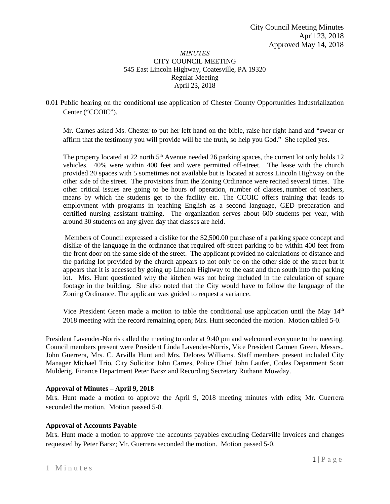## *MINUTES* CITY COUNCIL MEETING 545 East Lincoln Highway, Coatesville, PA 19320 Regular Meeting April 23, 2018

# 0.01 Public hearing on the conditional use application of Chester County Opportunities Industrialization Center ("CCOIC").

Mr. Carnes asked Ms. Chester to put her left hand on the bible, raise her right hand and "swear or affirm that the testimony you will provide will be the truth, so help you God." She replied yes.

The property located at 22 north  $5<sup>th</sup>$  Avenue needed 26 parking spaces, the current lot only holds 12 vehicles. 40% were within 400 feet and were permitted off-street. The lease with the church provided 20 spaces with 5 sometimes not available but is located at across Lincoln Highway on the other side of the street. The provisions from the Zoning Ordinance were recited several times. The other critical issues are going to be hours of operation, number of classes, number of teachers, means by which the students get to the facility etc. The CCOIC offers training that leads to employment with programs in teaching English as a second language, GED preparation and certified nursing assistant training. The organization serves about 600 students per year, with around 30 students on any given day that classes are held.

Members of Council expressed a dislike for the \$2,500.00 purchase of a parking space concept and dislike of the language in the ordinance that required off-street parking to be within 400 feet from the front door on the same side of the street. The applicant provided no calculations of distance and the parking lot provided by the church appears to not only be on the other side of the street but it appears that it is accessed by going up Lincoln Highway to the east and then south into the parking lot. Mrs. Hunt questioned why the kitchen was not being included in the calculation of square footage in the building. She also noted that the City would have to follow the language of the Zoning Ordinance. The applicant was guided to request a variance.

Vice President Green made a motion to table the conditional use application until the May 14<sup>th</sup> 2018 meeting with the record remaining open; Mrs. Hunt seconded the motion. Motion tabled 5-0.

President Lavender-Norris called the meeting to order at 9:40 pm and welcomed everyone to the meeting. Council members present were President Linda Lavender-Norris, Vice President Carmen Green, Messrs., John Guerrera, Mrs. C. Arvilla Hunt and Mrs. Delores Williams. Staff members present included City Manager Michael Trio, City Solicitor John Carnes, Police Chief John Laufer, Codes Department Scott Mulderig, Finance Department Peter Barsz and Recording Secretary Ruthann Mowday.

## **Approval of Minutes – April 9, 2018**

Mrs. Hunt made a motion to approve the April 9, 2018 meeting minutes with edits; Mr. Guerrera seconded the motion. Motion passed 5-0.

# **Approval of Accounts Payable**

Mrs. Hunt made a motion to approve the accounts payables excluding Cedarville invoices and changes requested by Peter Barsz; Mr. Guerrera seconded the motion. Motion passed 5-0.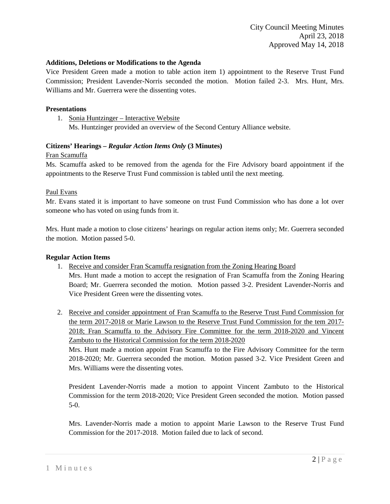### **Additions, Deletions or Modifications to the Agenda**

Vice President Green made a motion to table action item 1) appointment to the Reserve Trust Fund Commission; President Lavender-Norris seconded the motion. Motion failed 2-3. Mrs. Hunt, Mrs. Williams and Mr. Guerrera were the dissenting votes.

#### **Presentations**

1. Sonia Huntzinger – Interactive Website

Ms. Huntzinger provided an overview of the Second Century Alliance website.

## **Citizens' Hearings –** *Regular Action Items Only* **(3 Minutes)**

#### Fran Scamuffa

Ms. Scamuffa asked to be removed from the agenda for the Fire Advisory board appointment if the appointments to the Reserve Trust Fund commission is tabled until the next meeting.

#### Paul Evans

Mr. Evans stated it is important to have someone on trust Fund Commission who has done a lot over someone who has voted on using funds from it.

Mrs. Hunt made a motion to close citizens' hearings on regular action items only; Mr. Guerrera seconded the motion. Motion passed 5-0.

## **Regular Action Items**

- 1. Receive and consider Fran Scamuffa resignation from the Zoning Hearing Board Mrs. Hunt made a motion to accept the resignation of Fran Scamuffa from the Zoning Hearing Board; Mr. Guerrera seconded the motion. Motion passed 3-2. President Lavender-Norris and Vice President Green were the dissenting votes.
- 2. Receive and consider appointment of Fran Scamuffa to the Reserve Trust Fund Commission for the term 2017-2018 or Marie Lawson to the Reserve Trust Fund Commission for the tem 2017- 2018; Fran Scamuffa to the Advisory Fire Committee for the term 2018-2020 and Vincent Zambuto to the Historical Commission for the term 2018-2020

Mrs. Hunt made a motion appoint Fran Scamuffa to the Fire Advisory Committee for the term 2018-2020; Mr. Guerrera seconded the motion. Motion passed 3-2. Vice President Green and Mrs. Williams were the dissenting votes.

President Lavender-Norris made a motion to appoint Vincent Zambuto to the Historical Commission for the term 2018-2020; Vice President Green seconded the motion. Motion passed 5-0.

Mrs. Lavender-Norris made a motion to appoint Marie Lawson to the Reserve Trust Fund Commission for the 2017-2018. Motion failed due to lack of second.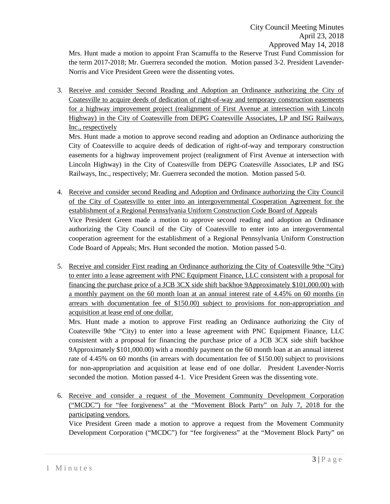Mrs. Hunt made a motion to appoint Fran Scamuffa to the Reserve Trust Fund Commission for the term 2017-2018; Mr. Guerrera seconded the motion. Motion passed 3-2. President Lavender-Norris and Vice President Green were the dissenting votes.

3. Receive and consider Second Reading and Adoption an Ordinance authorizing the City of Coatesville to acquire deeds of dedication of right-of-way and temporary construction easements for a highway improvement project (realignment of First Avenue at intersection with Lincoln Highway) in the City of Coatesville from DEPG Coatesville Associates, LP and ISG Railways, Inc., respectively

Mrs. Hunt made a motion to approve second reading and adoption an Ordinance authorizing the City of Coatesville to acquire deeds of dedication of right-of-way and temporary construction easements for a highway improvement project (realignment of First Avenue at intersection with Lincoln Highway) in the City of Coatesville from DEPG Coatesville Associates, LP and ISG Railways, Inc., respectively; Mr. Guerrera seconded the motion. Motion passed 5-0.

- 4. Receive and consider second Reading and Adoption and Ordinance authorizing the City Council of the City of Coatesville to enter into an intergovernmental Cooperation Agreement for the establishment of a Regional Pennsylvania Uniform Construction Code Board of Appeals Vice President Green made a motion to approve second reading and adoption an Ordinance authorizing the City Council of the City of Coatesville to enter into an intergovernmental cooperation agreement for the establishment of a Regional Pennsylvania Uniform Construction Code Board of Appeals; Mrs. Hunt seconded the motion. Motion passed 5-0.
- 5. Receive and consider First reading an Ordinance authorizing the City of Coatesville 9the "City) to enter into a lease agreement with PNC Equipment Finance, LLC consistent with a proposal for financing the purchase price of a JCB 3CX side shift backhoe 9Approximately \$101,000.00) with a monthly payment on the 60 month loan at an annual interest rate of 4.45% on 60 months (in arrears with documentation fee of \$150.00) subject to provisions for non-appropriation and acquisition at lease end of one dollar.

Mrs. Hunt made a motion to approve First reading an Ordinance authorizing the City of Coatesville 9the "City) to enter into a lease agreement with PNC Equipment Finance, LLC consistent with a proposal for financing the purchase price of a JCB 3CX side shift backhoe 9Approximately \$101,000.00) with a monthly payment on the 60 month loan at an annual interest rate of 4.45% on 60 months (in arrears with documentation fee of \$150.00) subject to provisions for non-appropriation and acquisition at lease end of one dollar. President Lavender-Norris seconded the motion. Motion passed 4-1. Vice President Green was the dissenting vote.

6. Receive and consider a request of the Movement Community Development Corporation ("MCDC") for "fee forgiveness" at the "Movement Block Party" on July 7, 2018 for the participating vendors.

Vice President Green made a motion to approve a request from the Movement Community Development Corporation ("MCDC") for "fee forgiveness" at the "Movement Block Party" on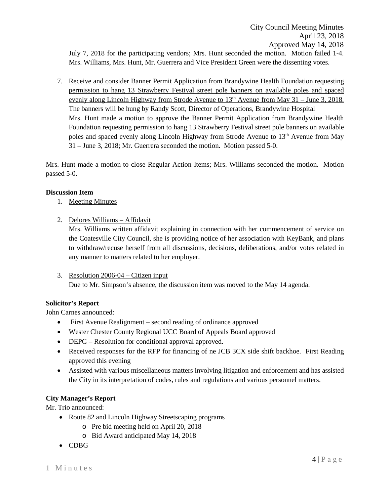7. Receive and consider Banner Permit Application from Brandywine Health Foundation requesting permission to hang 13 Strawberry Festival street pole banners on available poles and spaced evenly along Lincoln Highway from Strode Avenue to  $13<sup>th</sup>$  Avenue from May 31 – June 3, 2018. The banners will be hung by Randy Scott, Director of Operations, Brandywine Hospital Mrs. Hunt made a motion to approve the Banner Permit Application from Brandywine Health Foundation requesting permission to hang 13 Strawberry Festival street pole banners on available poles and spaced evenly along Lincoln Highway from Strode Avenue to 13<sup>th</sup> Avenue from May 31 – June 3, 2018; Mr. Guerrera seconded the motion. Motion passed 5-0.

Mrs. Hunt made a motion to close Regular Action Items; Mrs. Williams seconded the motion. Motion passed 5-0.

## **Discussion Item**

- 1. Meeting Minutes
- 2. Delores Williams Affidavit

Mrs. Williams written affidavit explaining in connection with her commencement of service on the Coatesville City Council, she is providing notice of her association with KeyBank, and plans to withdraw/recuse herself from all discussions, decisions, deliberations, and/or votes related in any manner to matters related to her employer.

3. Resolution 2006-04 – Citizen input Due to Mr. Simpson's absence, the discussion item was moved to the May 14 agenda.

## **Solicitor's Report**

John Carnes announced:

- First Avenue Realignment second reading of ordinance approved
- Wester Chester County Regional UCC Board of Appeals Board approved
- DEPG Resolution for conditional approval approved.
- Received responses for the RFP for financing of ne JCB 3CX side shift backhoe. First Reading approved this evening
- Assisted with various miscellaneous matters involving litigation and enforcement and has assisted the City in its interpretation of codes, rules and regulations and various personnel matters.

## **City Manager's Report**

Mr. Trio announced:

- Route 82 and Lincoln Highway Streetscaping programs
	- o Pre bid meeting held on April 20, 2018
	- o Bid Award anticipated May 14, 2018
- CDBG